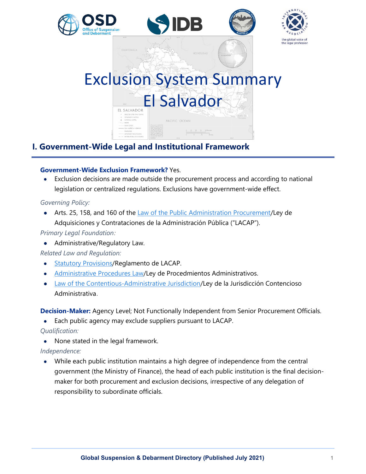

# **I. Government-Wide Legal and Institutional Framework**

### **Government-Wide Exclusion Framework?** Yes.

• Exclusion decisions are made outside the procurement process and according to national legislation or centralized regulations. Exclusions have government-wide effect.

#### *Governing Policy:*

• Arts. 25, 158, and 160 of the Law of the Public [Administration Procurement/](https://www.asamblea.gob.sv/decretos/details/3326)Ley de Adquisiciones y Contrataciones de la Administración Pública ("LACAP").

### *Primary Legal Foundation:*

• Administrative/Regulatory Law.

## *Related Law and Regulation:*

- [Statutory Provisions/](https://www.worldbank.org/content/dam/documents/sanctions/office-of-suspension-and-debarment/other-documents/El%20Salvador.pdf)Reglamento de LACAP.
- [Administrative Procedures Law/](https://www.asamblea.gob.sv/decretos/details/3389)Ley de Procedmientos Administrativos.
- [Law of the Contentious-Administrative Jurisdiction/](https://www.asamblea.gob.sv/decretos/details/3301)Ley de la Jurisdicción Contencioso Administrativa.

**Decision-Maker:** Agency Level; Not Functionally Independent from Senior Procurement Officials.

• Each public agency may exclude suppliers pursuant to LACAP.

*Qualification:*

• None stated in the legal framework.

## *Independence:*

• While each public institution maintains a high degree of independence from the central government (the Ministry of Finance), the head of each public institution is the final decisionmaker for both procurement and exclusion decisions, irrespective of any delegation of responsibility to subordinate officials.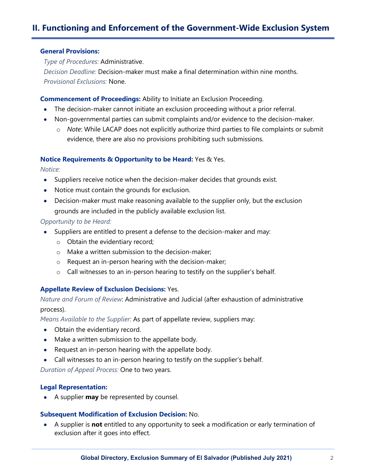# **II. Functioning and Enforcement of the Government-Wide Exclusion System**

#### **General Provisions:**

*Type of Procedures:* Administrative.

*Decision Deadline:* Decision-maker must make a final determination within nine months. *Provisional Exclusions:* None.

#### **Commencement of Proceedings:** Ability to Initiate an Exclusion Proceeding.

- The decision-maker cannot initiate an exclusion proceeding without a prior referral.
- Non-governmental parties can submit complaints and/or evidence to the decision-maker.
	- o *Note*: While LACAP does not explicitly authorize third parties to file complaints or submit evidence, there are also no provisions prohibiting such submissions.

#### **Notice Requirements & Opportunity to be Heard:** Yes & Yes.

*Notice:*

- Suppliers receive notice when the decision-maker decides that grounds exist.
- Notice must contain the grounds for exclusion.
- Decision-maker must make reasoning available to the supplier only, but the exclusion grounds are included in the publicly available exclusion list.

#### *Opportunity to be Heard:*

- Suppliers are entitled to present a defense to the decision-maker and may:
	- o Obtain the evidentiary record;
	- o Make a written submission to the decision-maker;
	- o Request an in-person hearing with the decision-maker;
	- o Call witnesses to an in-person hearing to testify on the supplier's behalf.

#### **Appellate Review of Exclusion Decisions:** Yes.

*Nature and Forum of Review*: Administrative and Judicial (after exhaustion of administrative process).

*Means Available to the Supplier:* As part of appellate review, suppliers may:

- Obtain the evidentiary record.
- Make a written submission to the appellate body.
- Request an in-person hearing with the appellate body.
- Call witnesses to an in-person hearing to testify on the supplier's behalf.

*Duration of Appeal Process:* One to two years.

#### **Legal Representation:**

• A supplier **may** be represented by counsel.

#### **Subsequent Modification of Exclusion Decision:** No.

• A supplier is **not** entitled to any opportunity to seek a modification or early termination of exclusion after it goes into effect.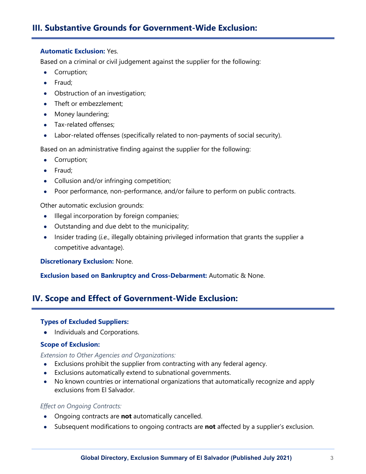# **III. Substantive Grounds for Government-Wide Exclusion:**

#### **Automatic Exclusion:** Yes.

Based on a criminal or civil judgement against the supplier for the following:

- Corruption;
- Fraud;
- Obstruction of an investigation;
- Theft or embezzlement;
- Money laundering;
- Tax-related offenses:
- Labor-related offenses (specifically related to non-payments of social security).

Based on an administrative finding against the supplier for the following:

- Corruption;
- Fraud;
- Collusion and/or infringing competition;
- Poor performance, non-performance, and/or failure to perform on public contracts.

Other automatic exclusion grounds:

- Illegal incorporation by foreign companies;
- Outstanding and due debt to the municipality;
- Insider trading (*i.e.*, illegally obtaining privileged information that grants the supplier a competitive advantage).

**Discretionary Exclusion:** None.

**Exclusion based on Bankruptcy and Cross-Debarment:** Automatic & None.

## **IV. Scope and Effect of Government-Wide Exclusion:**

#### **Types of Excluded Suppliers:**

• Individuals and Corporations.

#### **Scope of Exclusion:**

*Extension to Other Agencies and Organizations:*

- Exclusions prohibit the supplier from contracting with any federal agency.
- Exclusions automatically extend to subnational governments.
- No known countries or international organizations that automatically recognize and apply exclusions from El Salvador.

#### *Effect on Ongoing Contracts:*

- Ongoing contracts are **not** automatically cancelled.
- Subsequent modifications to ongoing contracts are **not** affected by a supplier's exclusion.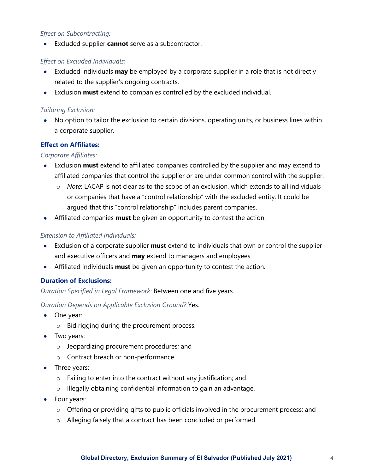## *Effect on Subcontracting:*

• Excluded supplier **cannot** serve as a subcontractor.

## *Effect on Excluded Individuals:*

- Excluded individuals **may** be employed by a corporate supplier in a role that is not directly related to the supplier's ongoing contracts.
- Exclusion **must** extend to companies controlled by the excluded individual.

### *Tailoring Exclusion:*

• No option to tailor the exclusion to certain divisions, operating units, or business lines within a corporate supplier.

## **Effect on Affiliates:**

## *Corporate Affiliates:*

- Exclusion **must** extend to affiliated companies controlled by the supplier and may extend to affiliated companies that control the supplier or are under common control with the supplier.
	- o *Note*: LACAP is not clear as to the scope of an exclusion, which extends to all individuals or companies that have a "control relationship" with the excluded entity. It could be argued that this "control relationship" includes parent companies.
- Affiliated companies **must** be given an opportunity to contest the action.

## *Extension to Affiliated Individuals:*

- Exclusion of a corporate supplier **must** extend to individuals that own or control the supplier and executive officers and **may** extend to managers and employees.
- Affiliated individuals **must** be given an opportunity to contest the action.

## **Duration of Exclusions:**

*Duration Specified in Legal Framework:* Between one and five years.

*Duration Depends on Applicable Exclusion Ground?* Yes.

- One year:
	- o Bid rigging during the procurement process.
- Two years:
	- o Jeopardizing procurement procedures; and
	- o Contract breach or non-performance.
- Three years:
	- o Failing to enter into the contract without any justification; and
	- o Illegally obtaining confidential information to gain an advantage.
- Four years:
	- o Offering or providing gifts to public officials involved in the procurement process; and
	- o Alleging falsely that a contract has been concluded or performed.